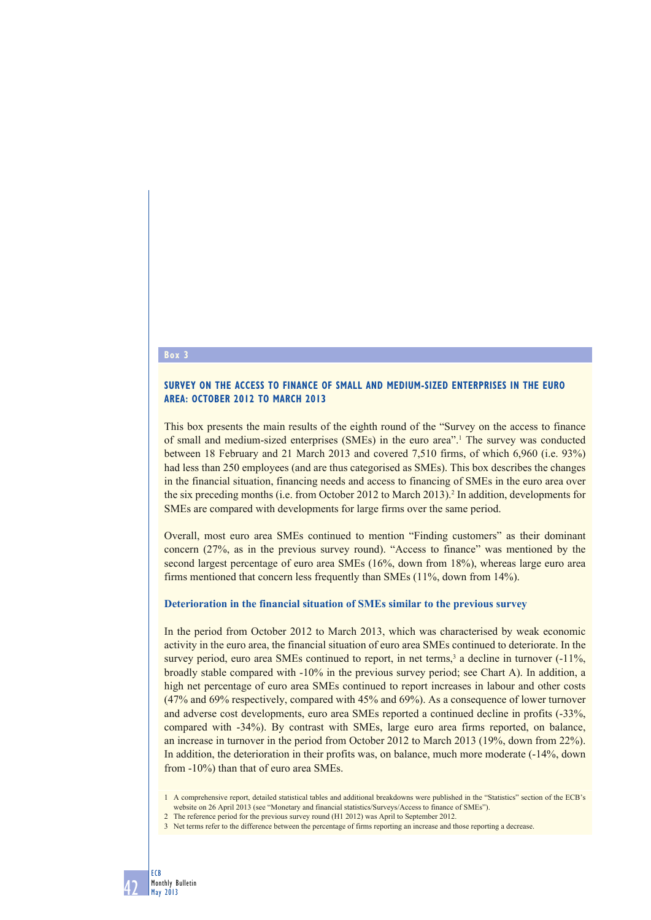## **Box 3**

### **SURVEY ON THE ACCESS TO FINANCE OF SMALL AND MEDIUM-SIZED ENTERPRISES IN THE EURO AREA: OCTOBER 2012 TO MARCH 2013**

This box presents the main results of the eighth round of the "Survey on the access to finance of small and medium-sized enterprises (SMEs) in the euro area<sup>"1</sup>. The survey was conducted between 18 February and 21 March 2013 and covered 7,510 firms, of which 6,960 (i.e. 93%) had less than 250 employees (and are thus categorised as SMEs). This box describes the changes in the financial situation, financing needs and access to financing of SMEs in the euro area over the six preceding months (i.e. from October 2012 to March 2013).<sup>2</sup> In addition, developments for SMEs are compared with developments for large firms over the same period.

Overall, most euro area SMEs continued to mention "Finding customers" as their dominant concern (27%, as in the previous survey round). "Access to finance" was mentioned by the second largest percentage of euro area SMEs (16%, down from 18%), whereas large euro area firms mentioned that concern less frequently than SMEs (11%, down from 14%).

### **Deterioration in the financial situation of SMEs similar to the previous survey**

In the period from October 2012 to March 2013, which was characterised by weak economic activity in the euro area, the financial situation of euro area SMEs continued to deteriorate. In the survey period, euro area SMEs continued to report, in net terms,<sup>3</sup> a decline in turnover  $(-11\%,$ broadly stable compared with -10% in the previous survey period; see Chart A). In addition, a high net percentage of euro area SMEs continued to report increases in labour and other costs (47% and 69% respectively, compared with 45% and 69%). As a consequence of lower turnover and adverse cost developments, euro area SMEs reported a continued decline in profits (-33%, compared with -34%). By contrast with SMEs, large euro area firms reported, on balance, an increase in turnover in the period from October 2012 to March 2013 (19%, down from 22%). In addition, the deterioration in their profits was, on balance, much more moderate (-14%, down from -10%) than that of euro area SMEs.

- 2 The reference period for the previous survey round (H1 2012) was April to September 2012.
- 3 Net terms refer to the difference between the percentage of firms reporting an increase and those reporting a decrease.

<sup>1</sup> A comprehensive report, detailed statistical tables and additional breakdowns were published in the "Statistics" section of the ECB's website on 26 April 2013 (see "Monetary and financial statistics/Surveys/Access to finance of SMEs").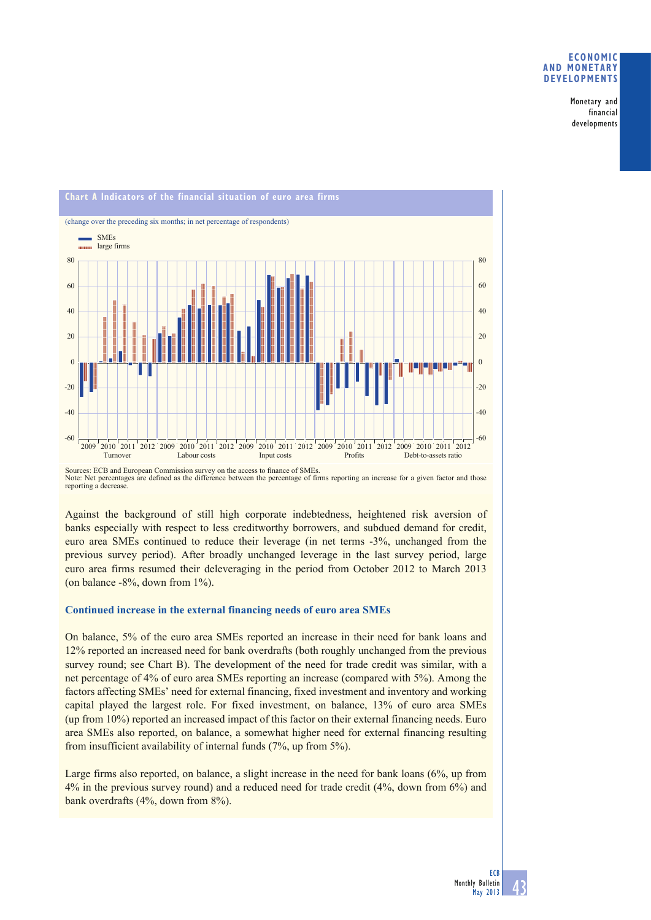#### **ECONOMIC AND MONETARY DEVELOPMENTS**

Monetary and financial developments



Sources: ECB and European Commission survey on the access to finance of SMEs.<br>Note: Net percentages are defined as the difference between the percentage of firms reporting an increase for a given factor and those reporting a decrease.

Against the background of still high corporate indebtedness, heightened risk aversion of banks especially with respect to less creditworthy borrowers, and subdued demand for credit, euro area SMEs continued to reduce their leverage (in net terms -3%, unchanged from the previous survey period). After broadly unchanged leverage in the last survey period, large euro area firms resumed their deleveraging in the period from October 2012 to March 2013 (on balance  $-8\%$ , down from  $1\%$ ).

### **Continued increase in the external financing needs of euro area SMEs**

On balance, 5% of the euro area SMEs reported an increase in their need for bank loans and 12% reported an increased need for bank overdrafts (both roughly unchanged from the previous survey round; see Chart B). The development of the need for trade credit was similar, with a net percentage of 4% of euro area SMEs reporting an increase (compared with 5%). Among the factors affecting SMEs' need for external financing, fixed investment and inventory and working capital played the largest role. For fixed investment, on balance, 13% of euro area SMEs (up from 10%) reported an increased impact of this factor on their external financing needs. Euro area SMEs also reported, on balance, a somewhat higher need for external financing resulting from insufficient availability of internal funds (7%, up from 5%).

Large firms also reported, on balance, a slight increase in the need for bank loans (6%, up from 4% in the previous survey round) and a reduced need for trade credit (4%, down from 6%) and bank overdrafts (4%, down from 8%).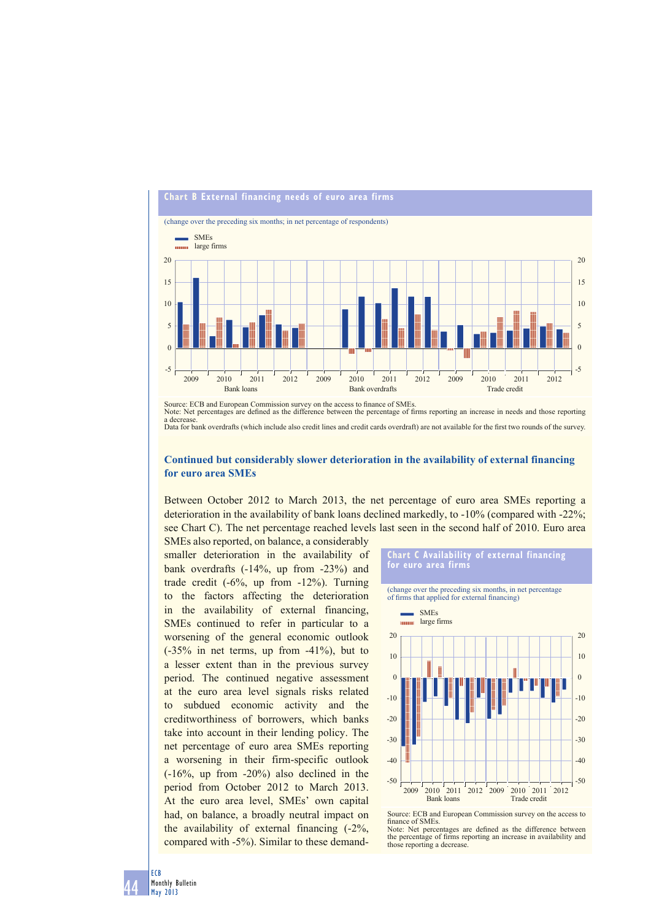

Source: ECB and European Commission survey on the access to finance of SMEs. Note: Net percentages are defined as the difference between the percentage of firms reporting an increase in needs and those reporting a decrease a decrease.<br>Data for bank overdrafts (which include also credit lines and credit cards overdraft) are not available for the first two rounds of the survey.

# **Continued but considerably slower deterioration in the availability of external financing for euro area SMEs**

Between October 2012 to March 2013, the net percentage of euro area SMEs reporting a deterioration in the availability of bank loans declined markedly, to -10% (compared with -22%; see Chart C). The net percentage reached levels last seen in the second half of 2010. Euro area

SMEs also reported, on balance, a considerably smaller deterioration in the availability of bank overdrafts (-14%, up from -23%) and trade credit (-6%, up from -12%). Turning to the factors affecting the deterioration in the availability of external financing, SMEs continued to refer in particular to a worsening of the general economic outlook (-35% in net terms, up from -41%), but to a lesser extent than in the previous survey period. The continued negative assessment at the euro area level signals risks related to subdued economic activity and the creditworthiness of borrowers, which banks take into account in their lending policy. The net percentage of euro area SMEs reporting a worsening in their firm-specific outlook (-16%, up from -20%) also declined in the period from October 2012 to March 2013. At the euro area level, SMEs' own capital had, on balance, a broadly neutral impact on the availability of external financing (-2%, compared with -5%). Similar to these demand-



finance of SMEs Note: Net percentages are defined as the difference between the percentage of firms reporting an increase in availability and those reporting a decrease.

44 ECB Monthly Bulletin May 2013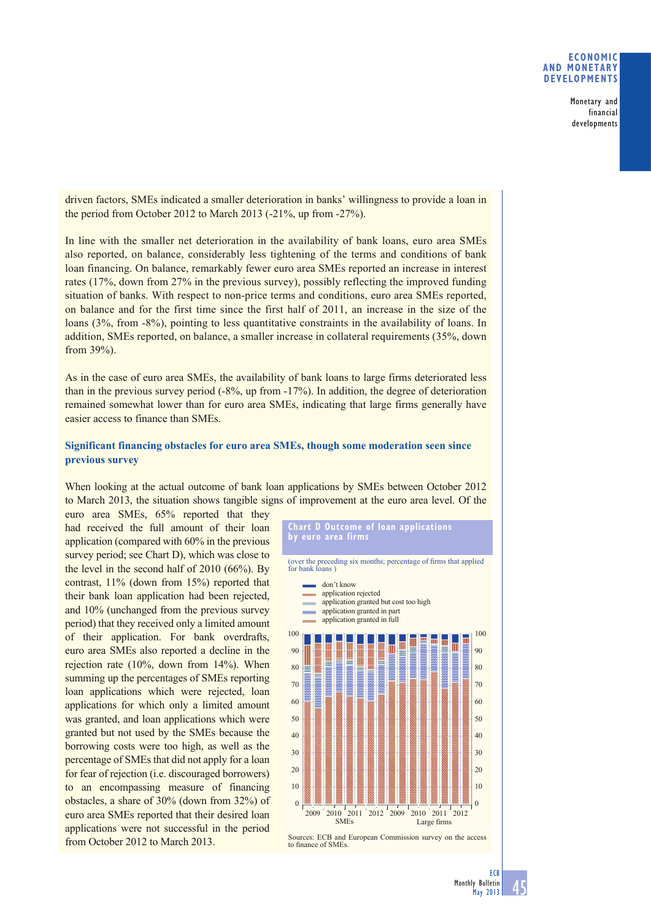### **ECONOMIC AND MONETARY DEVELOPMENTS**

Monetary and financial developments

driven factors, SMEs indicated a smaller deterioration in banks' willingness to provide a loan in the period from October 2012 to March 2013 (-21%, up from -27%).

In line with the smaller net deterioration in the availability of bank loans, euro area SMEs also reported, on balance, considerably less tightening of the terms and conditions of bank loan financing. On balance, remarkably fewer euro area SMEs reported an increase in interest rates (17%, down from 27% in the previous survey), possibly reflecting the improved funding situation of banks. With respect to non-price terms and conditions, euro area SMEs reported, on balance and for the first time since the first half of 2011, an increase in the size of the loans (3%, from -8%), pointing to less quantitative constraints in the availability of loans. In addition, SMEs reported, on balance, a smaller increase in collateral requirements (35%, down from 39%).

As in the case of euro area SMEs, the availability of bank loans to large firms deteriorated less than in the previous survey period (-8%, up from -17%). In addition, the degree of deterioration remained somewhat lower than for euro area SMEs, indicating that large firms generally have easier access to finance than SMEs.

# **Significant financing obstacles for euro area SMEs, though some moderation seen since previous survey**

When looking at the actual outcome of bank loan applications by SMEs between October 2012 to March 2013, the situation shows tangible signs of improvement at the euro area level. Of the

euro area SMEs, 65% reported that they had received the full amount of their loan application (compared with 60% in the previous survey period; see Chart D), which was close to the level in the second half of 2010 (66%). By contrast, 11% (down from 15%) reported that their bank loan application had been rejected, and 10% (unchanged from the previous survey period) that they received only a limited amount of their application. For bank overdrafts, euro area SMEs also reported a decline in the rejection rate (10%, down from 14%). When summing up the percentages of SMEs reporting loan applications which were rejected, loan applications for which only a limited amount was granted, and loan applications which were granted but not used by the SMEs because the borrowing costs were too high, as well as the percentage of SMEs that did not apply for a loan for fear of rejection (i.e. discouraged borrowers) to an encompassing measure of financing obstacles, a share of 30% (down from 32%) of euro area SMEs reported that their desired loan applications were not successful in the period from October 2012 to March 2013.